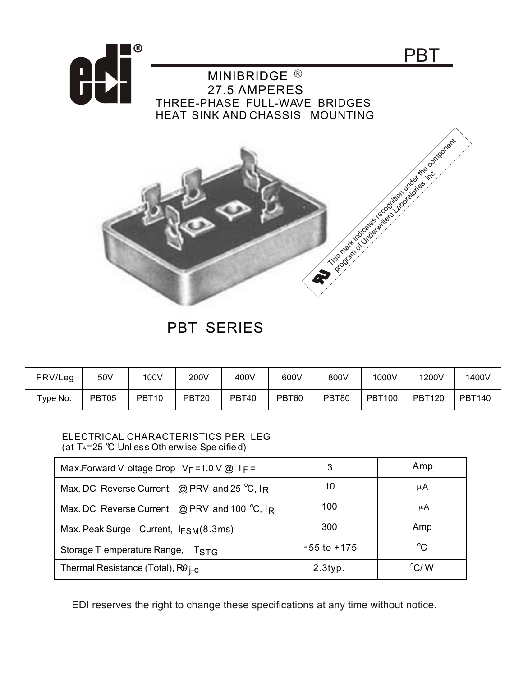

PBT SERIES

| PRV/Leg                   | 50V   | 100V              | 200V  | 400V  | 600V  | 800V  | 1000V         | 1200V         | 1400V         |
|---------------------------|-------|-------------------|-------|-------|-------|-------|---------------|---------------|---------------|
| $\tau$ <sub>ype</sub> No. | PBT05 | PBT <sub>10</sub> | PBT20 | PBT40 | PBT60 | PBT80 | <b>PBT100</b> | <b>PBT120</b> | <b>PBT140</b> |

## ELECTRICAL CHARACTERISTICS PER LEG (at  $T_A = 25$  °C Unl ess Oth erw ise Spe cified)

| Max.Forward V oltage Drop $V_F = 1.0 V @ I_F =$        | 3               | Amp           |  |
|--------------------------------------------------------|-----------------|---------------|--|
| Max. DC Reverse Current @ PRV and 25 $^{\circ}$ C, IR  | 10              | μA            |  |
| Max. DC Reverse Current @ PRV and 100 $^{\circ}$ C, IR | 100             | μA            |  |
| Max. Peak Surge Current, IFSM(8.3ms)                   | 300             | Amp           |  |
| Storage T emperature Range, TSTG                       | $-55$ to $+175$ | $^{\circ}C$   |  |
| Thermal Resistance (Total), $R\theta_{\text{i-C}}$     | $2.3$ typ.      | $\rm ^{o}C/M$ |  |

EDI reserves the right to change these specifications at any time without notice.